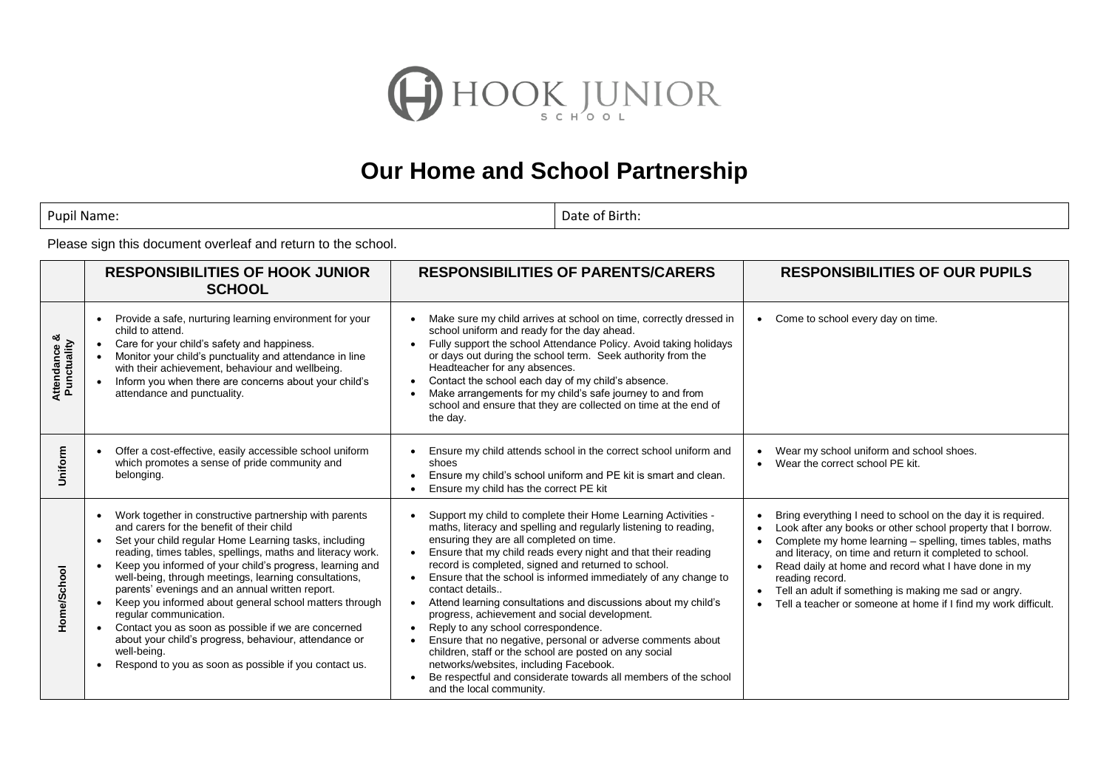

## **Our Home and School Partnership**

Pupil Name: Date of Birth:

Please sign this document overleaf and return to the school.

|                                         | <b>RESPONSIBILITIES OF HOOK JUNIOR</b><br><b>SCHOOL</b>                                                                                                                                                                                                                                                                                                                                                                                                                                                                                                                                                                                                                                                  | <b>RESPONSIBILITIES OF PARENTS/CARERS</b>                                                                                                                                                                                                                                                                                                                                                                                                                                                                                                                                                                                                                                                                                                                                                                               | <b>RESPONSIBILITIES OF OUR PUPILS</b>                                                                                                                                                                                                                                                                                                                                                                                                                                    |
|-----------------------------------------|----------------------------------------------------------------------------------------------------------------------------------------------------------------------------------------------------------------------------------------------------------------------------------------------------------------------------------------------------------------------------------------------------------------------------------------------------------------------------------------------------------------------------------------------------------------------------------------------------------------------------------------------------------------------------------------------------------|-------------------------------------------------------------------------------------------------------------------------------------------------------------------------------------------------------------------------------------------------------------------------------------------------------------------------------------------------------------------------------------------------------------------------------------------------------------------------------------------------------------------------------------------------------------------------------------------------------------------------------------------------------------------------------------------------------------------------------------------------------------------------------------------------------------------------|--------------------------------------------------------------------------------------------------------------------------------------------------------------------------------------------------------------------------------------------------------------------------------------------------------------------------------------------------------------------------------------------------------------------------------------------------------------------------|
| <b>Attendance &amp;<br/>Punctuality</b> | Provide a safe, nurturing learning environment for your<br>child to attend.<br>Care for your child's safety and happiness.<br>Monitor your child's punctuality and attendance in line<br>with their achievement, behaviour and wellbeing.<br>Inform you when there are concerns about your child's<br>attendance and punctuality.                                                                                                                                                                                                                                                                                                                                                                        | Make sure my child arrives at school on time, correctly dressed in<br>school uniform and ready for the day ahead.<br>Fully support the school Attendance Policy. Avoid taking holidays<br>or days out during the school term. Seek authority from the<br>Headteacher for any absences.<br>Contact the school each day of my child's absence.<br>Make arrangements for my child's safe journey to and from<br>school and ensure that they are collected on time at the end of<br>the day.                                                                                                                                                                                                                                                                                                                                | Come to school every day on time.<br>$\bullet$                                                                                                                                                                                                                                                                                                                                                                                                                           |
| Uniform                                 | Offer a cost-effective, easily accessible school uniform<br>$\bullet$<br>which promotes a sense of pride community and<br>belonging.                                                                                                                                                                                                                                                                                                                                                                                                                                                                                                                                                                     | Ensure my child attends school in the correct school uniform and<br>shoes<br>Ensure my child's school uniform and PE kit is smart and clean.<br>Ensure my child has the correct PE kit                                                                                                                                                                                                                                                                                                                                                                                                                                                                                                                                                                                                                                  | Wear my school uniform and school shoes.<br>$\bullet$<br>Wear the correct school PE kit.<br>$\bullet$                                                                                                                                                                                                                                                                                                                                                                    |
| Home/School                             | Work together in constructive partnership with parents<br>and carers for the benefit of their child<br>Set your child regular Home Learning tasks, including<br>reading, times tables, spellings, maths and literacy work.<br>Keep you informed of your child's progress, learning and<br>$\bullet$<br>well-being, through meetings, learning consultations,<br>parents' evenings and an annual written report.<br>Keep you informed about general school matters through<br>regular communication.<br>Contact you as soon as possible if we are concerned<br>$\bullet$<br>about your child's progress, behaviour, attendance or<br>well-being.<br>Respond to you as soon as possible if you contact us. | Support my child to complete their Home Learning Activities -<br>maths, literacy and spelling and regularly listening to reading,<br>ensuring they are all completed on time.<br>Ensure that my child reads every night and that their reading<br>record is completed, signed and returned to school.<br>Ensure that the school is informed immediately of any change to<br>contact details<br>Attend learning consultations and discussions about my child's<br>progress, achievement and social development.<br>Reply to any school correspondence.<br>Ensure that no negative, personal or adverse comments about<br>children, staff or the school are posted on any social<br>networks/websites, including Facebook.<br>Be respectful and considerate towards all members of the school<br>and the local community. | Bring everything I need to school on the day it is required.<br>Look after any books or other school property that I borrow.<br>Complete my home learning - spelling, times tables, maths<br>and literacy, on time and return it completed to school.<br>Read daily at home and record what I have done in my<br>$\bullet$<br>reading record.<br>Tell an adult if something is making me sad or angry.<br>Tell a teacher or someone at home if I find my work difficult. |